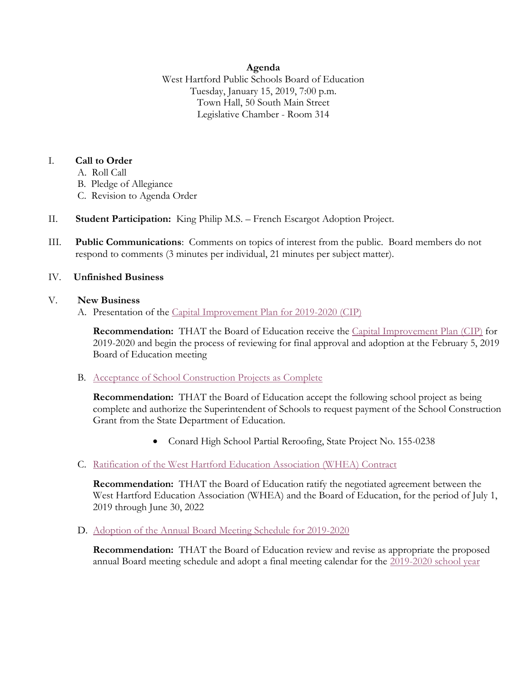## **Agenda**

West Hartford Public Schools Board of Education Tuesday, January 15, 2019, 7:00 p.m. Town Hall, 50 South Main Street Legislative Chamber - Room 314

## I. **Call to Order**

- A. Roll Call
- B. Pledge of Allegiance
- C. Revision to Agenda Order
- II. **Student Participation:** King Philip M.S. French Escargot Adoption Project.
- III. **Public Communications**: Comments on topics of interest from the public. Board members do not respond to comments (3 minutes per individual, 21 minutes per subject matter).

## IV. **Unfinished Business**

## V. **New Business**

A. Presentation of the [Capital Improvement Plan for 2019-2020](https://westhartford.redesign.finalsite.com/uploaded/BOE/BOE_Documents/20190115/CIP_Presentation_Agenda_Item.pdf?1547227276601) (CIP)

**Recommendation:** THAT the Board of Education receive the Capital [Improvement Plan \(CIP\)](https://westhartford.redesign.finalsite.com/uploaded/BOE/BOE_Documents/20190115/Final_CIP_Narrative_for_Jan_15_2019.pdf?1547227554380) for 2019-2020 and begin the process of reviewing for final approval and adoption at the February 5, 2019 Board of Education meeting

B. [Acceptance of School Construction Projects as Complete](https://westhartford.redesign.finalsite.com/uploaded/BOE/BOE_Documents/20190115/Acceptance_of_School_Construction_Proj_CHS.pdf?1547227228406)

**Recommendation:** THAT the Board of Education accept the following school project as being complete and authorize the Superintendent of Schools to request payment of the School Construction Grant from the State Department of Education.

- Conard High School Partial Reroofing, State Project No. 155-0238
- C. [Ratification of the West Hartford Education Association \(WHEA\) Contract](https://westhartford.redesign.finalsite.com/uploaded/BOE/BOE_Documents/20190115/V.A._Ratification_of_WHEA_contract2018.pdf?1547227788306)

**Recommendation:** THAT the Board of Education ratify the negotiated agreement between the West Hartford Education Association (WHEA) and the Board of Education, for the period of July 1, 2019 through June 30, 2022

D. [Adoption of the Annual Board Meeting Schedule for 2019-2020](https://westhartford.redesign.finalsite.com/uploaded/BOE/BOE_Documents/20190115/BOE_Schedule_for_2019-20.pdf?1547227251254)

**Recommendation:** THAT the Board of Education review and revise as appropriate the proposed annual Board meeting schedule and adopt a final meeting calendar for the [2019-2020 school year](https://westhartford.redesign.finalsite.com/uploaded/BOE/BOE_Documents/20190115/2019_20_school_year_calendar.pdf?1547227610135)